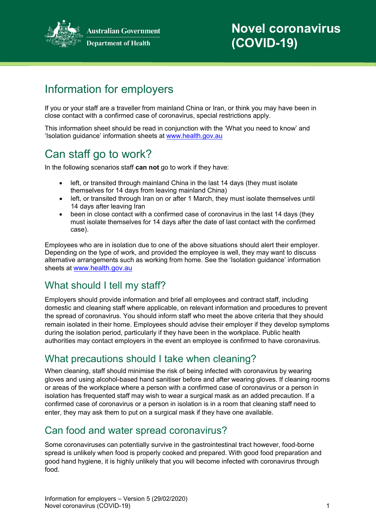

**Australian Government Department of Health** 

# **Novel coronavirus (COVID-19)**

# Information for employers

If you or your staff are a traveller from mainland China or Iran, or think you may have been in close contact with a confirmed case of coronavirus, special restrictions apply.

This information sheet should be read in conjunction with the 'What you need to know' and 'Isolation guidance' information sheets at [www.health.gov.au](http://www.health.gov.au/)

# Can staff go to work?

In the following scenarios staff **can not** go to work if they have:

- left, or transited through mainland China in the last 14 days (they must isolate themselves for 14 days from leaving mainland China)
- left, or transited through Iran on or after 1 March, they must isolate themselves until 14 days after leaving Iran
- been in close contact with a confirmed case of coronavirus in the last 14 days (they must isolate themselves for 14 days after the date of last contact with the confirmed case).

Employees who are in isolation due to one of the above situations should alert their employer. Depending on the type of work, and provided the employee is well, they may want to discuss alternative arrangements such as working from home. See the 'Isolation guidance' information sheets at [www.health.gov.au](http://www.health.gov.au/)

### What should I tell my staff?

Employers should provide information and brief all employees and contract staff, including domestic and cleaning staff where applicable, on relevant information and procedures to prevent the spread of coronavirus. You should inform staff who meet the above criteria that they should remain isolated in their home. Employees should advise their employer if they develop symptoms during the isolation period, particularly if they have been in the workplace. Public health authorities may contact employers in the event an employee is confirmed to have coronavirus.

### What precautions should I take when cleaning?

When cleaning, staff should minimise the risk of being infected with coronavirus by wearing gloves and using alcohol-based hand sanitiser before and after wearing gloves. If cleaning rooms or areas of the workplace where a person with a confirmed case of coronavirus or a person in isolation has frequented staff may wish to wear a surgical mask as an added precaution. If a confirmed case of coronavirus or a person in isolation is in a room that cleaning staff need to enter, they may ask them to put on a surgical mask if they have one available.

### Can food and water spread coronavirus?

Some coronaviruses can potentially survive in the gastrointestinal tract however, food-borne spread is unlikely when food is properly cooked and prepared. With good food preparation and good hand hygiene, it is highly unlikely that you will become infected with coronavirus through food.